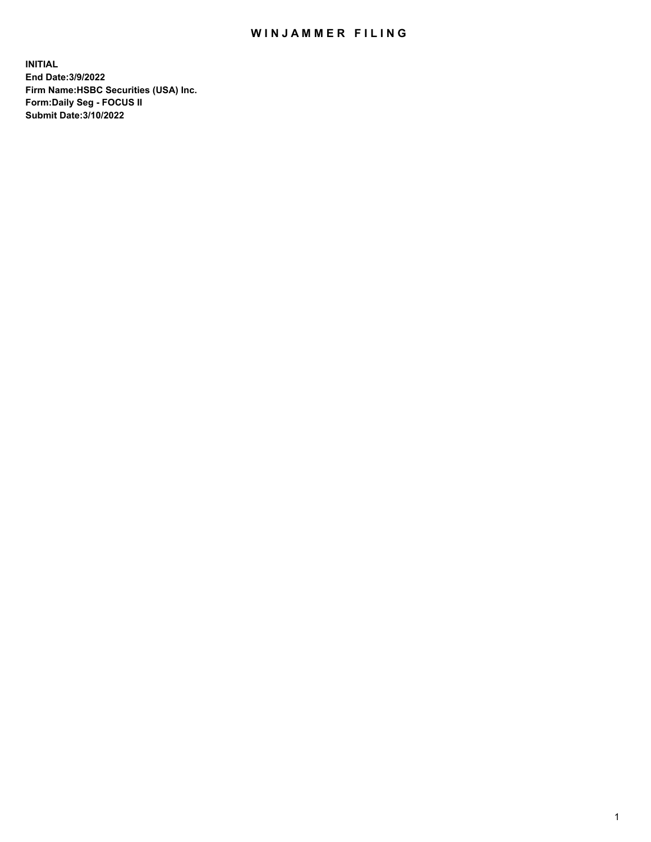## WIN JAMMER FILING

**INITIAL End Date:3/9/2022 Firm Name:HSBC Securities (USA) Inc. Form:Daily Seg - FOCUS II Submit Date:3/10/2022**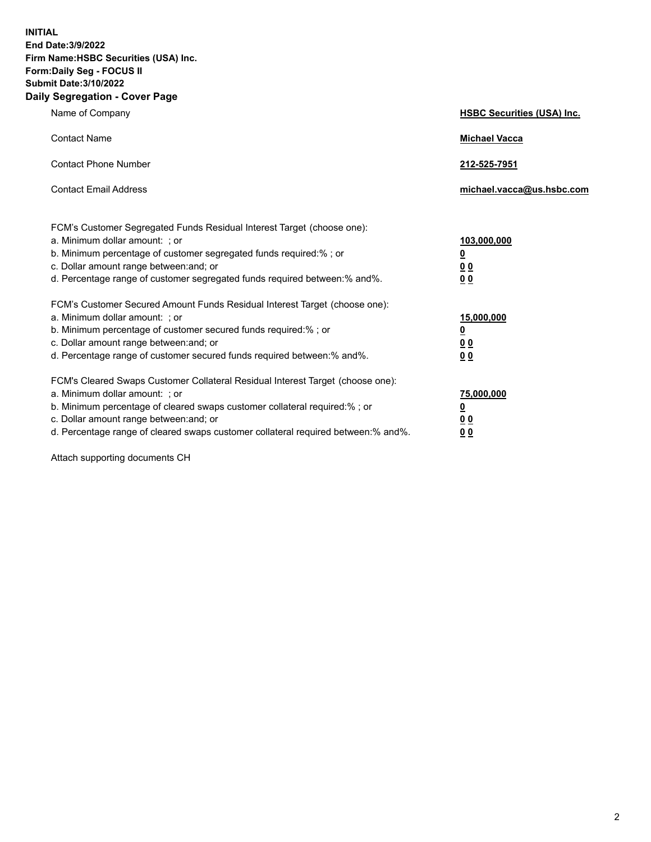**INITIAL End Date:3/9/2022 Firm Name:HSBC Securities (USA) Inc. Form:Daily Seg - FOCUS II Submit Date:3/10/2022 Daily Segregation - Cover Page**

| Name of Company                                                                                                                                                                                                                                                                                                                | <b>HSBC Securities (USA) Inc.</b>                           |
|--------------------------------------------------------------------------------------------------------------------------------------------------------------------------------------------------------------------------------------------------------------------------------------------------------------------------------|-------------------------------------------------------------|
| <b>Contact Name</b>                                                                                                                                                                                                                                                                                                            | <b>Michael Vacca</b>                                        |
| <b>Contact Phone Number</b>                                                                                                                                                                                                                                                                                                    | 212-525-7951                                                |
| <b>Contact Email Address</b>                                                                                                                                                                                                                                                                                                   | michael.vacca@us.hsbc.com                                   |
| FCM's Customer Segregated Funds Residual Interest Target (choose one):<br>a. Minimum dollar amount: : or<br>b. Minimum percentage of customer segregated funds required:% ; or<br>c. Dollar amount range between: and; or<br>d. Percentage range of customer segregated funds required between:% and%.                         | 103,000,000<br><u>0</u><br>0 <sub>0</sub><br>0 <sub>0</sub> |
| FCM's Customer Secured Amount Funds Residual Interest Target (choose one):<br>a. Minimum dollar amount: ; or<br>b. Minimum percentage of customer secured funds required:%; or<br>c. Dollar amount range between: and; or<br>d. Percentage range of customer secured funds required between: % and %.                          | 15,000,000<br><u>0</u><br>00<br>0 <sub>0</sub>              |
| FCM's Cleared Swaps Customer Collateral Residual Interest Target (choose one):<br>a. Minimum dollar amount: ; or<br>b. Minimum percentage of cleared swaps customer collateral required:% ; or<br>c. Dollar amount range between: and; or<br>d. Percentage range of cleared swaps customer collateral required between:% and%. | 75,000,000<br><u>0</u><br>00<br>00                          |

Attach supporting documents CH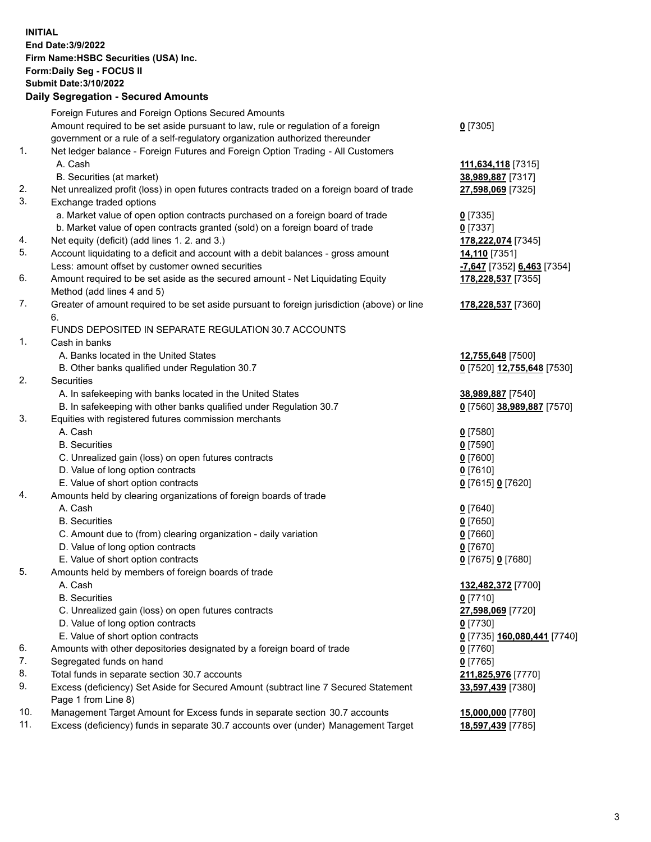**INITIAL End Date:3/9/2022 Firm Name:HSBC Securities (USA) Inc. Form:Daily Seg - FOCUS II Submit Date:3/10/2022 Daily Segregation - Secured Amounts**

## Foreign Futures and Foreign Options Secured Amounts Amount required to be set aside pursuant to law, rule or regulation of a foreign government or a rule of a self-regulatory organization authorized thereunder **0** [7305] 1. Net ledger balance - Foreign Futures and Foreign Option Trading - All Customers A. Cash **111,634,118** [7315] B. Securities (at market) **38,989,887** [7317] 2. Net unrealized profit (loss) in open futures contracts traded on a foreign board of trade **27,598,069** [7325] 3. Exchange traded options a. Market value of open option contracts purchased on a foreign board of trade **0** [7335] b. Market value of open contracts granted (sold) on a foreign board of trade **0** [7337] 4. Net equity (deficit) (add lines 1. 2. and 3.) **178,222,074** [7345] 5. Account liquidating to a deficit and account with a debit balances - gross amount **14,110** [7351] Less: amount offset by customer owned securities **-7,647** [7352] **6,463** [7354] 6. Amount required to be set aside as the secured amount - Net Liquidating Equity Method (add lines 4 and 5) **178,228,537** [7355] 7. Greater of amount required to be set aside pursuant to foreign jurisdiction (above) or line 6. **178,228,537** [7360] FUNDS DEPOSITED IN SEPARATE REGULATION 30.7 ACCOUNTS 1. Cash in banks A. Banks located in the United States **12,755,648** [7500] B. Other banks qualified under Regulation 30.7 **0** [7520] **12,755,648** [7530] 2. Securities A. In safekeeping with banks located in the United States **38,989,887** [7540] B. In safekeeping with other banks qualified under Regulation 30.7 **0** [7560] **38,989,887** [7570] 3. Equities with registered futures commission merchants A. Cash **0** [7580] B. Securities **0** [7590] C. Unrealized gain (loss) on open futures contracts **0** [7600] D. Value of long option contracts **0** [7610] E. Value of short option contracts **0** [7615] **0** [7620] 4. Amounts held by clearing organizations of foreign boards of trade A. Cash **0** [7640] B. Securities **0** [7650] C. Amount due to (from) clearing organization - daily variation **0** [7660] D. Value of long option contracts **0** [7670] E. Value of short option contracts **0** [7675] **0** [7680] 5. Amounts held by members of foreign boards of trade A. Cash **132,482,372** [7700] B. Securities **0** [7710] C. Unrealized gain (loss) on open futures contracts **27,598,069** [7720] D. Value of long option contracts **0** [7730] E. Value of short option contracts **0** [7735] **160,080,441** [7740] 6. Amounts with other depositories designated by a foreign board of trade **0** [7760] 7. Segregated funds on hand **0** [7765] 8. Total funds in separate section 30.7 accounts **211,825,976** [7770] 9. Excess (deficiency) Set Aside for Secured Amount (subtract line 7 Secured Statement Page 1 from Line 8) **33,597,439** [7380] 10. Management Target Amount for Excess funds in separate section 30.7 accounts **15,000,000** [7780] 11. Excess (deficiency) funds in separate 30.7 accounts over (under) Management Target **18,597,439** [7785]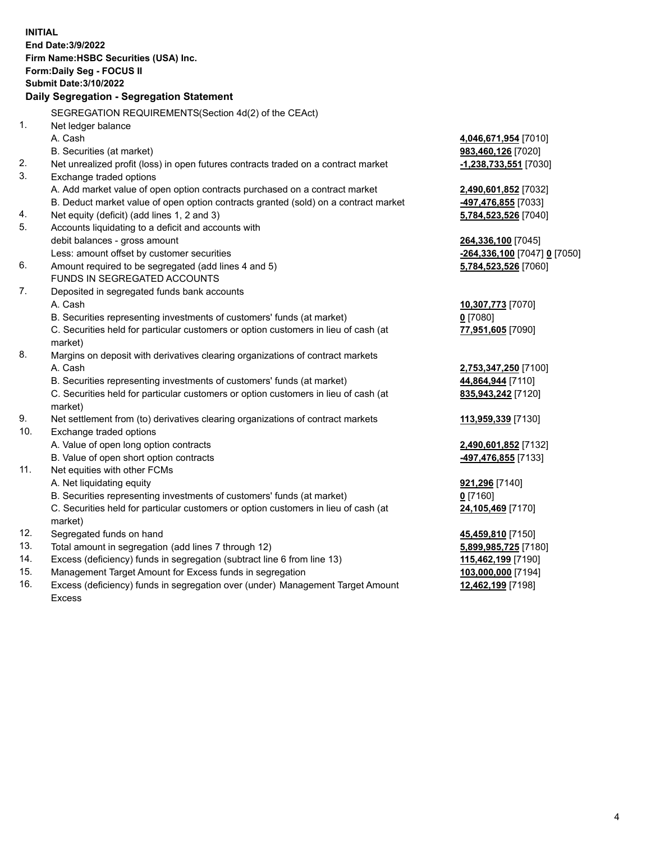| <b>INITIAL</b> | End Date: 3/9/2022<br>Firm Name: HSBC Securities (USA) Inc.<br>Form: Daily Seg - FOCUS II<br><b>Submit Date: 3/10/2022</b><br>Daily Segregation - Segregation Statement |                              |
|----------------|-------------------------------------------------------------------------------------------------------------------------------------------------------------------------|------------------------------|
|                | SEGREGATION REQUIREMENTS(Section 4d(2) of the CEAct)                                                                                                                    |                              |
| 1 <sub>1</sub> | Net ledger balance                                                                                                                                                      |                              |
|                | A. Cash                                                                                                                                                                 | 4,046,671,954 [7010]         |
|                | B. Securities (at market)                                                                                                                                               | 983,460,126 [7020]           |
| 2.             | Net unrealized profit (loss) in open futures contracts traded on a contract market                                                                                      | $-1,238,733,551$ [7030]      |
| 3.             | Exchange traded options                                                                                                                                                 |                              |
|                | A. Add market value of open option contracts purchased on a contract market                                                                                             | 2,490,601,852 [7032]         |
|                | B. Deduct market value of open option contracts granted (sold) on a contract market                                                                                     | <u>-497,476,855</u> [7033]   |
| 4.<br>5.       | Net equity (deficit) (add lines 1, 2 and 3)<br>Accounts liquidating to a deficit and accounts with                                                                      | 5,784,523,526 [7040]         |
|                | debit balances - gross amount                                                                                                                                           | 264,336,100 [7045]           |
|                | Less: amount offset by customer securities                                                                                                                              | -264,336,100 [7047] 0 [7050] |
| 6.             | Amount required to be segregated (add lines 4 and 5)                                                                                                                    | 5,784,523,526 [7060]         |
|                | FUNDS IN SEGREGATED ACCOUNTS                                                                                                                                            |                              |
| 7.             | Deposited in segregated funds bank accounts                                                                                                                             |                              |
|                | A. Cash                                                                                                                                                                 | 10,307,773 [7070]            |
|                | B. Securities representing investments of customers' funds (at market)                                                                                                  | $0$ [7080]                   |
|                | C. Securities held for particular customers or option customers in lieu of cash (at                                                                                     | 77,951,605 [7090]            |
|                | market)                                                                                                                                                                 |                              |
| 8.             | Margins on deposit with derivatives clearing organizations of contract markets                                                                                          |                              |
|                | A. Cash                                                                                                                                                                 | 2,753,347,250 [7100]         |
|                | B. Securities representing investments of customers' funds (at market)                                                                                                  | 44,864,944 [7110]            |
|                | C. Securities held for particular customers or option customers in lieu of cash (at                                                                                     | 835,943,242 [7120]           |
|                | market)                                                                                                                                                                 |                              |
| 9.             | Net settlement from (to) derivatives clearing organizations of contract markets                                                                                         | 113,959,339 [7130]           |
| 10.            | Exchange traded options                                                                                                                                                 |                              |
|                | A. Value of open long option contracts                                                                                                                                  | 2,490,601,852 [7132]         |
| 11.            | B. Value of open short option contracts<br>Net equities with other FCMs                                                                                                 | -497,476,855 [7133]          |
|                | A. Net liquidating equity                                                                                                                                               | <b>921,296</b> [7140]        |
|                | B. Securities representing investments of customers' funds (at market)                                                                                                  | $0$ [7160]                   |
|                | C. Securities held for particular customers or option customers in lieu of cash (at                                                                                     | 24,105,469 [7170]            |
|                | market)                                                                                                                                                                 |                              |
| 12.            | Segregated funds on hand                                                                                                                                                | 45,459,810 [7150]            |
| 13.            | Total amount in segregation (add lines 7 through 12)                                                                                                                    | 5,899,985,725 [7180]         |
| 14.            | Excess (deficiency) funds in segregation (subtract line 6 from line 13)                                                                                                 | 115,462,199 [7190]           |
| 15.            | Management Target Amount for Excess funds in segregation                                                                                                                | 103,000,000 [7194]           |
| 16.            | Excess (deficiency) funds in segregation over (under) Management Target Amount                                                                                          | 12,462,199 [7198]            |

Excess